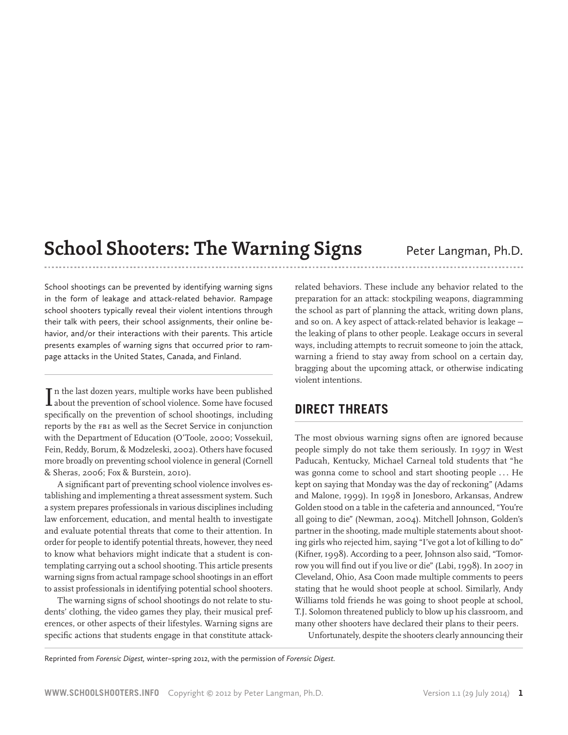# **School Shooters: The Warning Signs** Peter Langman, Ph.D.

School shootings can be prevented by identifying warning signs in the form of leakage and attack-related behavior. Rampage school shooters typically reveal their violent intentions through their talk with peers, their school assignments, their online behavior, and/or their interactions with their parents. This article presents examples of warning signs that occurred prior to rampage attacks in the United States, Canada, and Finland.

 $\prod \limits_{}$ n the last dozen years, multiple works have been published about the prevention of school violence. Some have focused n the last dozen years, multiple works have been published specifically on the prevention of school shootings, including reports by the FBI as well as the Secret Service in conjunction with the Department of Education (O'Toole, 2000; Vossekuil, Fein, Reddy, Borum, & Modzeleski, 2002). Others have focused more broadly on preventing school violence in general (Cornell & Sheras, 2006; Fox & Burstein, 2010).

A significant part of preventing school violence involves establishing and implementing a threat assessment system. Such a system prepares professionals in various disciplines including law enforcement, education, and mental health to investigate and evaluate potential threats that come to their attention. In order for people to identify potential threats, however, they need to know what behaviors might indicate that a student is contemplating carrying out a school shooting. This article presents warning signs from actual rampage school shootings in an effort to assist professionals in identifying potential school shooters.

The warning signs of school shootings do not relate to students' clothing, the video games they play, their musical preferences, or other aspects of their lifestyles. Warning signs are specific actions that students engage in that constitute attackrelated behaviors. These include any behavior related to the preparation for an attack: stockpiling weapons, diagramming the school as part of planning the attack, writing down plans, and so on. A key aspect of attack-related behavior is leakage the leaking of plans to other people. Leakage occurs in several ways, including attempts to recruit someone to join the attack, warning a friend to stay away from school on a certain day, bragging about the upcoming attack, or otherwise indicating violent intentions.

# **Direct Threats**

The most obvious warning signs often are ignored because people simply do not take them seriously. In 1997 in West Paducah, Kentucky, Michael Carneal told students that "he was gonna come to school and start shooting people ... He kept on saying that Monday was the day of reckoning" (Adams and Malone, 1999). In 1998 in Jonesboro, Arkansas, Andrew Golden stood on a table in the cafeteria and announced, "You're all going to die" (Newman, 2004). Mitchell Johnson, Golden's partner in the shooting, made multiple statements about shooting girls who rejected him, saying "I've got a lot of killing to do" (Kifner, 1998). According to a peer, Johnson also said, "Tomorrow you will find out if you live or die" (Labi, 1998). In 2007 in Cleveland, Ohio, Asa Coon made multiple comments to peers stating that he would shoot people at school. Similarly, Andy Williams told friends he was going to shoot people at school, T.J. Solomon threatened publicly to blow up his classroom, and many other shooters have declared their plans to their peers.

Unfortunately, despite the shooters clearly announcing their

Reprinted from *Forensic Digest,* winter–spring 2012, with the permission of *Forensic Digest.*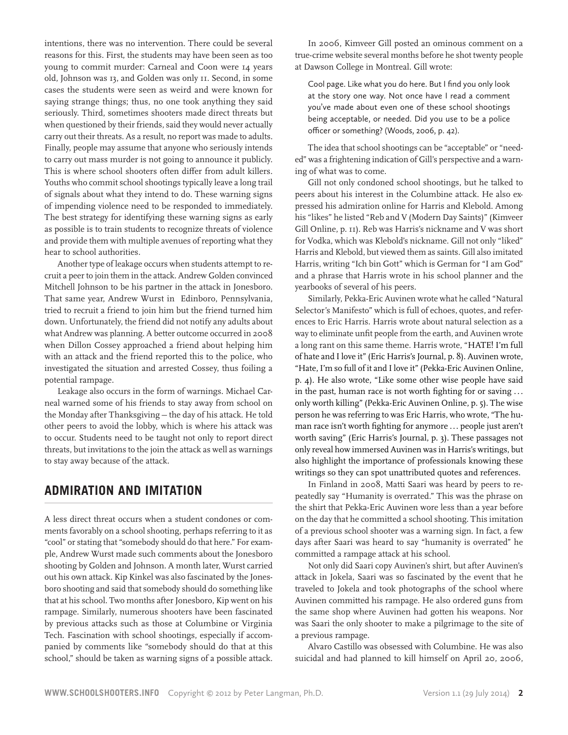intentions, there was no intervention. There could be several reasons for this. First, the students may have been seen as too young to commit murder: Carneal and Coon were 14 years old, Johnson was 13, and Golden was only 11. Second, in some cases the students were seen as weird and were known for saying strange things; thus, no one took anything they said seriously. Third, sometimes shooters made direct threats but when questioned by their friends, said they would never actually carry out their threats. As a result, no report was made to adults. Finally, people may assume that anyone who seriously intends to carry out mass murder is not going to announce it publicly. This is where school shooters often differ from adult killers. Youths who commit school shootings typically leave a long trail of signals about what they intend to do. These warning signs of impending violence need to be responded to immediately. The best strategy for identifying these warning signs as early as possible is to train students to recognize threats of violence and provide them with multiple avenues of reporting what they hear to school authorities.

Another type of leakage occurs when students attempt to recruit a peer to join them in the attack. Andrew Golden convinced Mitchell Johnson to be his partner in the attack in Jonesboro. That same year, Andrew Wurst in Edinboro, Pennsylvania, tried to recruit a friend to join him but the friend turned him down. Unfortunately, the friend did not notify any adults about what Andrew was planning. A better outcome occurred in 2008 when Dillon Cossey approached a friend about helping him with an attack and the friend reported this to the police, who investigated the situation and arrested Cossey, thus foiling a potential rampage.

Leakage also occurs in the form of warnings. Michael Carneal warned some of his friends to stay away from school on the Monday after Thanksgiving — the day of his attack. He told other peers to avoid the lobby, which is where his attack was to occur. Students need to be taught not only to report direct threats, but invitations to the join the attack as well as warnings to stay away because of the attack.

#### **Admiration and Imitation**

A less direct threat occurs when a student condones or comments favorably on a school shooting, perhaps referring to it as "cool" or stating that "somebody should do that here." For example, Andrew Wurst made such comments about the Jonesboro shooting by Golden and Johnson. A month later, Wurst carried out his own attack. Kip Kinkel was also fascinated by the Jonesboro shooting and said that somebody should do something like that at his school. Two months after Jonesboro, Kip went on his rampage. Similarly, numerous shooters have been fascinated by previous attacks such as those at Columbine or Virginia Tech. Fascination with school shootings, especially if accompanied by comments like "somebody should do that at this school," should be taken as warning signs of a possible attack.

In 2006, Kimveer Gill posted an ominous comment on a true-crime website several months before he shot twenty people at Dawson College in Montreal. Gill wrote:

Cool page. Like what you do here. But I find you only look at the story one way. Not once have I read a comment you've made about even one of these school shootings being acceptable, or needed. Did you use to be a police officer or something? (Woods, 2006, p. 42).

The idea that school shootings can be "acceptable" or "needed" was a frightening indication of Gill's perspective and a warning of what was to come.

Gill not only condoned school shootings, but he talked to peers about his interest in the Columbine attack. He also expressed his admiration online for Harris and Klebold. Among his "likes" he listed "Reb and V (Modern Day Saints)" (Kimveer Gill Online, p. 11). Reb was Harris's nickname and V was short for Vodka, which was Klebold's nickname. Gill not only "liked" Harris and Klebold, but viewed them as saints. Gill also imitated Harris, writing "Ich bin Gott" which is German for "I am God" and a phrase that Harris wrote in his school planner and the yearbooks of several of his peers.

Similarly, Pekka-Eric Auvinen wrote what he called "Natural Selector's Manifesto" which is full of echoes, quotes, and references to Eric Harris. Harris wrote about natural selection as a way to eliminate unfit people from the earth, and Auvinen wrote a long rant on this same theme. Harris wrote, "HATE! I'm full of hate and I love it" (Eric Harris's Journal, p. 8). Auvinen wrote, "Hate, I'm so full of it and I love it" (Pekka-Eric Auvinen Online, p. 4). He also wrote, "Like some other wise people have said in the past, human race is not worth fighting for or saving . . . only worth killing" (Pekka-Eric Auvinen Online, p. 5). The wise person he was referring to was Eric Harris, who wrote, "The human race isn't worth fighting for anymore ... people just aren't worth saving" (Eric Harris's Journal, p. 3). These passages not only reveal how immersed Auvinen was in Harris's writings, but also highlight the importance of professionals knowing these writings so they can spot unattributed quotes and references.

In Finland in 2008, Matti Saari was heard by peers to repeatedly say "Humanity is overrated." This was the phrase on the shirt that Pekka-Eric Auvinen wore less than a year before on the day that he committed a school shooting. This imitation of a previous school shooter was a warning sign. In fact, a few days after Saari was heard to say "humanity is overrated" he committed a rampage attack at his school.

Not only did Saari copy Auvinen's shirt, but after Auvinen's attack in Jokela, Saari was so fascinated by the event that he traveled to Jokela and took photographs of the school where Auvinen committed his rampage. He also ordered guns from the same shop where Auvinen had gotten his weapons. Nor was Saari the only shooter to make a pilgrimage to the site of a previous rampage.

Alvaro Castillo was obsessed with Columbine. He was also suicidal and had planned to kill himself on April 20, 2006,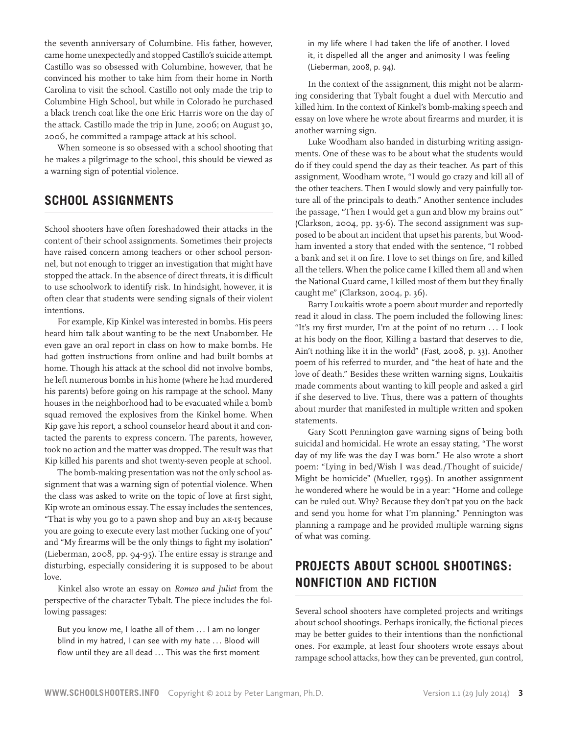the seventh anniversary of Columbine. His father, however, came home unexpectedly and stopped Castillo's suicide attempt. Castillo was so obsessed with Columbine, however, that he convinced his mother to take him from their home in North Carolina to visit the school. Castillo not only made the trip to Columbine High School, but while in Colorado he purchased a black trench coat like the one Eric Harris wore on the day of the attack. Castillo made the trip in June, 2006; on August 30, 2006, he committed a rampage attack at his school.

When someone is so obsessed with a school shooting that he makes a pilgrimage to the school, this should be viewed as a warning sign of potential violence.

### **School Assignments**

School shooters have often foreshadowed their attacks in the content of their school assignments. Sometimes their projects have raised concern among teachers or other school personnel, but not enough to trigger an investigation that might have stopped the attack. In the absence of direct threats, it is difficult to use schoolwork to identify risk. In hindsight, however, it is often clear that students were sending signals of their violent intentions.

For example, Kip Kinkel was interested in bombs. His peers heard him talk about wanting to be the next Unabomber. He even gave an oral report in class on how to make bombs. He had gotten instructions from online and had built bombs at home. Though his attack at the school did not involve bombs, he left numerous bombs in his home (where he had murdered his parents) before going on his rampage at the school. Many houses in the neighborhood had to be evacuated while a bomb squad removed the explosives from the Kinkel home. When Kip gave his report, a school counselor heard about it and contacted the parents to express concern. The parents, however, took no action and the matter was dropped. The result was that Kip killed his parents and shot twenty-seven people at school.

The bomb-making presentation was not the only school assignment that was a warning sign of potential violence. When the class was asked to write on the topic of love at first sight, Kip wrote an ominous essay. The essay includes the sentences, "That is why you go to a pawn shop and buy an AK-15 because you are going to execute every last mother fucking one of you" and "My firearms will be the only things to fight my isolation" (Lieberman, 2008, pp. 94-95). The entire essay is strange and disturbing, especially considering it is supposed to be about love.

Kinkel also wrote an essay on *Romeo and Juliet* from the perspective of the character Tybalt. The piece includes the following passages:

But you know me, I loathe all of them ... I am no longer blind in my hatred, I can see with my hate ... Blood will flow until they are all dead ... This was the first moment

in my life where I had taken the life of another. I loved it, it dispelled all the anger and animosity I was feeling (Lieberman, 2008, p. 94).

In the context of the assignment, this might not be alarming considering that Tybalt fought a duel with Mercutio and killed him. In the context of Kinkel's bomb-making speech and essay on love where he wrote about firearms and murder, it is another warning sign.

Luke Woodham also handed in disturbing writing assignments. One of these was to be about what the students would do if they could spend the day as their teacher. As part of this assignment, Woodham wrote, "I would go crazy and kill all of the other teachers. Then I would slowly and very painfully torture all of the principals to death." Another sentence includes the passage, "Then I would get a gun and blow my brains out" (Clarkson, 2004, pp. 35-6). The second assignment was supposed to be about an incident that upset his parents, but Woodham invented a story that ended with the sentence, "I robbed a bank and set it on fire. I love to set things on fire, and killed all the tellers. When the police came I killed them all and when the National Guard came, I killed most of them but they finally caught me" (Clarkson, 2004, p. 36).

Barry Loukaitis wrote a poem about murder and reportedly read it aloud in class. The poem included the following lines: "It's my first murder, I'm at the point of no return . . . I look at his body on the floor, Killing a bastard that deserves to die, Ain't nothing like it in the world" (Fast, 2008, p. 33). Another poem of his referred to murder, and "the heat of hate and the love of death." Besides these written warning signs, Loukaitis made comments about wanting to kill people and asked a girl if she deserved to live. Thus, there was a pattern of thoughts about murder that manifested in multiple written and spoken statements.

Gary Scott Pennington gave warning signs of being both suicidal and homicidal. He wrote an essay stating, "The worst day of my life was the day I was born." He also wrote a short poem: "Lying in bed/Wish I was dead./Thought of suicide/ Might be homicide" (Mueller, 1995). In another assignment he wondered where he would be in a year: "Home and college can be ruled out. Why? Because they don't pat you on the back and send you home for what I'm planning." Pennington was planning a rampage and he provided multiple warning signs of what was coming.

# **Projects About School Shootings: Nonfiction and Fiction**

Several school shooters have completed projects and writings about school shootings. Perhaps ironically, the fictional pieces may be better guides to their intentions than the nonfictional ones. For example, at least four shooters wrote essays about rampage school attacks, how they can be prevented, gun control,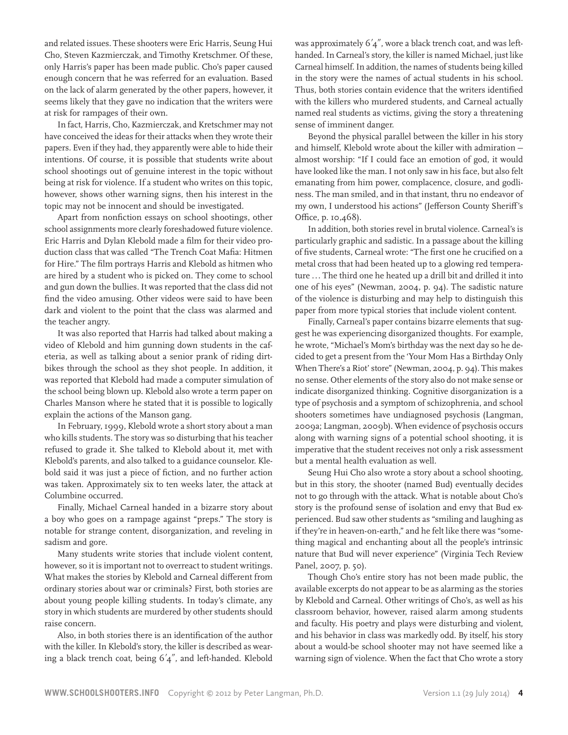and related issues. These shooters were Eric Harris, Seung Hui Cho, Steven Kazmierczak, and Timothy Kretschmer. Of these, only Harris's paper has been made public. Cho's paper caused enough concern that he was referred for an evaluation. Based on the lack of alarm generated by the other papers, however, it seems likely that they gave no indication that the writers were at risk for rampages of their own.

In fact, Harris, Cho, Kazmierczak, and Kretschmer may not have conceived the ideas for their attacks when they wrote their papers. Even if they had, they apparently were able to hide their intentions. Of course, it is possible that students write about school shootings out of genuine interest in the topic without being at risk for violence. If a student who writes on this topic, however, shows other warning signs, then his interest in the topic may not be innocent and should be investigated.

Apart from nonfiction essays on school shootings, other school assignments more clearly foreshadowed future violence. Eric Harris and Dylan Klebold made a film for their video production class that was called "The Trench Coat Mafia: Hitmen for Hire." The film portrays Harris and Klebold as hitmen who are hired by a student who is picked on. They come to school and gun down the bullies. It was reported that the class did not find the video amusing. Other videos were said to have been dark and violent to the point that the class was alarmed and the teacher angry.

It was also reported that Harris had talked about making a video of Klebold and him gunning down students in the cafeteria, as well as talking about a senior prank of riding dirtbikes through the school as they shot people. In addition, it was reported that Klebold had made a computer simulation of the school being blown up. Klebold also wrote a term paper on Charles Manson where he stated that it is possible to logically explain the actions of the Manson gang.

In February, 1999, Klebold wrote a short story about a man who kills students. The story was so disturbing that his teacher refused to grade it. She talked to Klebold about it, met with Klebold's parents, and also talked to a guidance counselor. Klebold said it was just a piece of fiction, and no further action was taken. Approximately six to ten weeks later, the attack at Columbine occurred.

Finally, Michael Carneal handed in a bizarre story about a boy who goes on a rampage against "preps." The story is notable for strange content, disorganization, and reveling in sadism and gore.

Many students write stories that include violent content, however, so it is important not to overreact to student writings. What makes the stories by Klebold and Carneal different from ordinary stories about war or criminals? First, both stories are about young people killing students. In today's climate, any story in which students are murdered by other students should raise concern.

Also, in both stories there is an identification of the author with the killer. In Klebold's story, the killer is described as wearing a black trench coat, being 6'4", and left-handed. Klebold was approximately 6'4", wore a black trench coat, and was lefthanded. In Carneal's story, the killer is named Michael, just like Carneal himself. In addition, the names of students being killed in the story were the names of actual students in his school. Thus, both stories contain evidence that the writers identified with the killers who murdered students, and Carneal actually named real students as victims, giving the story a threatening sense of imminent danger.

Beyond the physical parallel between the killer in his story and himself, Klebold wrote about the killer with admiration almost worship: "If I could face an emotion of god, it would have looked like the man. I not only saw in his face, but also felt emanating from him power, complacence, closure, and godliness. The man smiled, and in that instant, thru no endeavor of my own, I understood his actions" (Jefferson County Sheriff's Office, p. 10,468).

In addition, both stories revel in brutal violence. Carneal's is particularly graphic and sadistic. In a passage about the killing of five students, Carneal wrote: "The first one he crucified on a metal cross that had been heated up to a glowing red temperature ... The third one he heated up a drill bit and drilled it into one of his eyes" (Newman, 2004, p. 94). The sadistic nature of the violence is disturbing and may help to distinguish this paper from more typical stories that include violent content.

Finally, Carneal's paper contains bizarre elements that suggest he was experiencing disorganized thoughts. For example, he wrote, "Michael's Mom's birthday was the next day so he decided to get a present from the 'Your Mom Has a Birthday Only When There's a Riot' store" (Newman, 2004, p. 94). This makes no sense. Other elements of the story also do not make sense or indicate disorganized thinking. Cognitive disorganization is a type of psychosis and a symptom of schizophrenia, and school shooters sometimes have undiagnosed psychosis (Langman, 2009a; Langman, 2009b). When evidence of psychosis occurs along with warning signs of a potential school shooting, it is imperative that the student receives not only a risk assessment but a mental health evaluation as well.

Seung Hui Cho also wrote a story about a school shooting, but in this story, the shooter (named Bud) eventually decides not to go through with the attack. What is notable about Cho's story is the profound sense of isolation and envy that Bud experienced. Bud saw other students as "smiling and laughing as if they're in heaven-on-earth," and he felt like there was "something magical and enchanting about all the people's intrinsic nature that Bud will never experience" (Virginia Tech Review Panel, 2007, p. 50).

Though Cho's entire story has not been made public, the available excerpts do not appear to be as alarming as the stories by Klebold and Carneal. Other writings of Cho's, as well as his classroom behavior, however, raised alarm among students and faculty. His poetry and plays were disturbing and violent, and his behavior in class was markedly odd. By itself, his story about a would-be school shooter may not have seemed like a warning sign of violence. When the fact that Cho wrote a story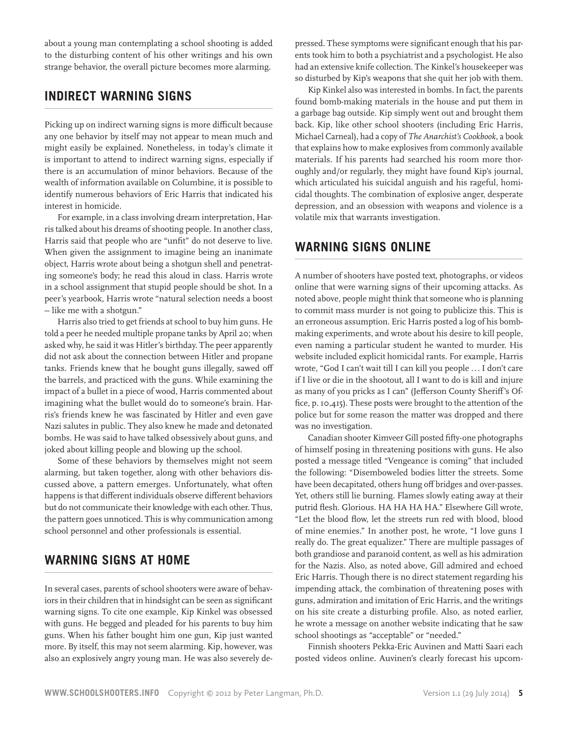about a young man contemplating a school shooting is added to the disturbing content of his other writings and his own strange behavior, the overall picture becomes more alarming.

#### **Indirect Warning Signs**

Picking up on indirect warning signs is more difficult because any one behavior by itself may not appear to mean much and might easily be explained. Nonetheless, in today's climate it is important to attend to indirect warning signs, especially if there is an accumulation of minor behaviors. Because of the wealth of information available on Columbine, it is possible to identify numerous behaviors of Eric Harris that indicated his interest in homicide.

For example, in a class involving dream interpretation, Harris talked about his dreams of shooting people. In another class, Harris said that people who are "unfit" do not deserve to live. When given the assignment to imagine being an inanimate object, Harris wrote about being a shotgun shell and penetrating someone's body; he read this aloud in class. Harris wrote in a school assignment that stupid people should be shot. In a peer's yearbook, Harris wrote "natural selection needs a boost — like me with a shotgun."

Harris also tried to get friends at school to buy him guns. He told a peer he needed multiple propane tanks by April 20; when asked why, he said it was Hitler's birthday. The peer apparently did not ask about the connection between Hitler and propane tanks. Friends knew that he bought guns illegally, sawed off the barrels, and practiced with the guns. While examining the impact of a bullet in a piece of wood, Harris commented about imagining what the bullet would do to someone's brain. Harris's friends knew he was fascinated by Hitler and even gave Nazi salutes in public. They also knew he made and detonated bombs. He was said to have talked obsessively about guns, and joked about killing people and blowing up the school.

Some of these behaviors by themselves might not seem alarming, but taken together, along with other behaviors discussed above, a pattern emerges. Unfortunately, what often happens is that different individuals observe different behaviors but do not communicate their knowledge with each other. Thus, the pattern goes unnoticed. This is why communication among school personnel and other professionals is essential.

#### **Warning Signs at Home**

In several cases, parents of school shooters were aware of behaviors in their children that in hindsight can be seen as significant warning signs. To cite one example, Kip Kinkel was obsessed with guns. He begged and pleaded for his parents to buy him guns. When his father bought him one gun, Kip just wanted more. By itself, this may not seem alarming. Kip, however, was also an explosively angry young man. He was also severely depressed. These symptoms were significant enough that his parents took him to both a psychiatrist and a psychologist. He also had an extensive knife collection. The Kinkel's housekeeper was so disturbed by Kip's weapons that she quit her job with them.

Kip Kinkel also was interested in bombs. In fact, the parents found bomb-making materials in the house and put them in a garbage bag outside. Kip simply went out and brought them back. Kip, like other school shooters (including Eric Harris, Michael Carneal), had a copy of *The Anarchist's Cookbook*, a book that explains how to make explosives from commonly available materials. If his parents had searched his room more thoroughly and/or regularly, they might have found Kip's journal, which articulated his suicidal anguish and his rageful, homicidal thoughts. The combination of explosive anger, desperate depression, and an obsession with weapons and violence is a volatile mix that warrants investigation.

#### **Warning Signs Online**

A number of shooters have posted text, photographs, or videos online that were warning signs of their upcoming attacks. As noted above, people might think that someone who is planning to commit mass murder is not going to publicize this. This is an erroneous assumption. Eric Harris posted a log of his bombmaking experiments, and wrote about his desire to kill people, even naming a particular student he wanted to murder. His website included explicit homicidal rants. For example, Harris wrote, "God I can't wait till I can kill you people ... I don't care if I live or die in the shootout, all I want to do is kill and injure as many of you pricks as I can" (Jefferson County Sheriff's Office, p. 10,415). These posts were brought to the attention of the police but for some reason the matter was dropped and there was no investigation.

Canadian shooter Kimveer Gill posted fifty-one photographs of himself posing in threatening positions with guns. He also posted a message titled "Vengeance is coming" that included the following: "Disemboweled bodies litter the streets. Some have been decapitated, others hung off bridges and over-passes. Yet, others still lie burning. Flames slowly eating away at their putrid flesh. Glorious. HA HA HA HA." Elsewhere Gill wrote, "Let the blood flow, let the streets run red with blood, blood of mine enemies." In another post, he wrote, "I love guns I really do. The great equalizer." There are multiple passages of both grandiose and paranoid content, as well as his admiration for the Nazis. Also, as noted above, Gill admired and echoed Eric Harris. Though there is no direct statement regarding his impending attack, the combination of threatening poses with guns, admiration and imitation of Eric Harris, and the writings on his site create a disturbing profile. Also, as noted earlier, he wrote a message on another website indicating that he saw school shootings as "acceptable" or "needed."

Finnish shooters Pekka-Eric Auvinen and Matti Saari each posted videos online. Auvinen's clearly forecast his upcom-